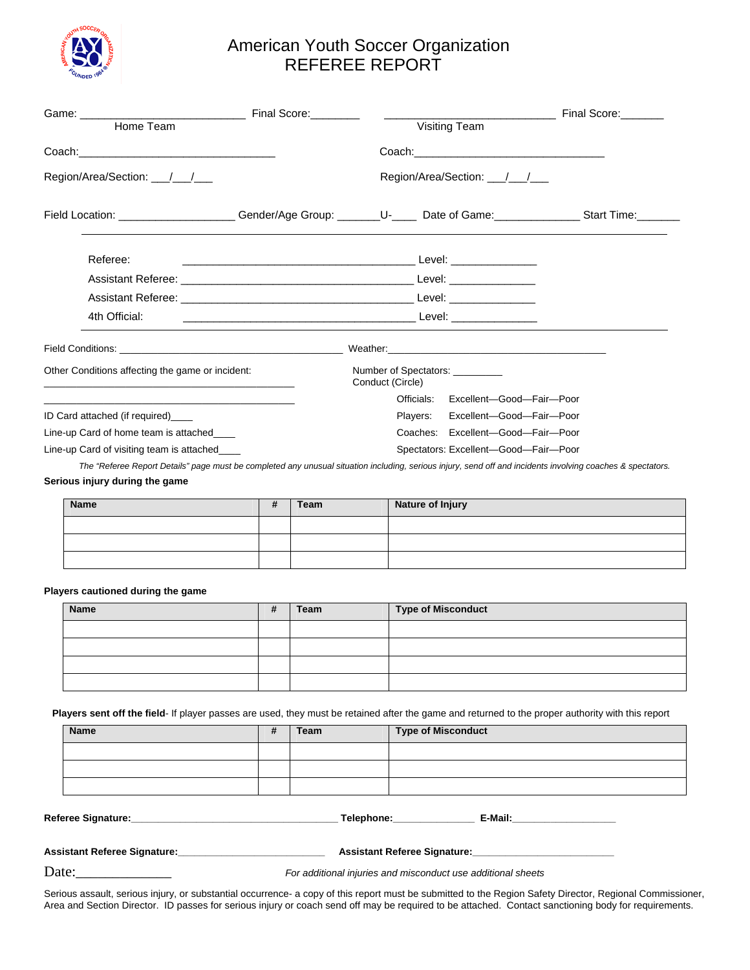

## American Youth Soccer Organization REFEREE REPORT

|                                                                                                                                                             |   |                           |                                                    |                  | <u> 1989 - Johann Barbara, martin a</u> | Final Score: |
|-------------------------------------------------------------------------------------------------------------------------------------------------------------|---|---------------------------|----------------------------------------------------|------------------|-----------------------------------------|--------------|
|                                                                                                                                                             |   |                           |                                                    |                  |                                         |              |
| Region/Area/Section: ////                                                                                                                                   |   | Region/Area/Section: //// |                                                    |                  |                                         |              |
| Field Location: _____________________Gender/Age Group: ________U-_____ Date of Game: ______________Start Time: ________                                     |   |                           |                                                    |                  |                                         |              |
| Referee:                                                                                                                                                    |   |                           |                                                    |                  |                                         |              |
|                                                                                                                                                             |   |                           |                                                    |                  |                                         |              |
|                                                                                                                                                             |   |                           |                                                    |                  |                                         |              |
| 4th Official:                                                                                                                                               |   |                           |                                                    |                  |                                         |              |
|                                                                                                                                                             |   |                           |                                                    |                  |                                         |              |
| Other Conditions affecting the game or incident:<br>the control of the control of the control of the control of the control of                              |   |                           | Number of Spectators: ________<br>Conduct (Circle) |                  |                                         |              |
|                                                                                                                                                             |   |                           |                                                    |                  | Officials: Excellent-Good-Fair-Poor     |              |
| ID Card attached (if required)                                                                                                                              |   |                           |                                                    | Players:         | Excellent-Good-Fair-Poor                |              |
| Line-up Card of home team is attached                                                                                                                       |   |                           |                                                    |                  | Coaches: Excellent-Good-Fair-Poor       |              |
| Line-up Card of visiting team is attached                                                                                                                   |   |                           | Spectators: Excellent-Good-Fair-Poor               |                  |                                         |              |
| The "Referee Report Details" page must be completed any unusual situation including, serious injury, send off and incidents involving coaches & spectators. |   |                           |                                                    |                  |                                         |              |
| Serious injury during the game                                                                                                                              |   |                           |                                                    |                  |                                         |              |
| <b>Name</b>                                                                                                                                                 | # | Team                      |                                                    | Nature of Injury |                                         |              |
|                                                                                                                                                             |   |                           |                                                    |                  |                                         |              |
|                                                                                                                                                             |   |                           |                                                    |                  |                                         |              |

## **Players cautioned during the game**

| Name | Team | <b>Type of Misconduct</b> |  |
|------|------|---------------------------|--|
|      |      |                           |  |
|      |      |                           |  |
|      |      |                           |  |
|      |      |                           |  |

 **Players sent off the field**- If player passes are used, they must be retained after the game and returned to the proper authority with this report

|                                                          | <b>Name</b> | # | Team | <b>Type of Misconduct</b>                                                                                                                                                                                                                                      |  |  |  |
|----------------------------------------------------------|-------------|---|------|----------------------------------------------------------------------------------------------------------------------------------------------------------------------------------------------------------------------------------------------------------------|--|--|--|
|                                                          |             |   |      |                                                                                                                                                                                                                                                                |  |  |  |
|                                                          |             |   |      |                                                                                                                                                                                                                                                                |  |  |  |
|                                                          |             |   |      |                                                                                                                                                                                                                                                                |  |  |  |
|                                                          |             |   |      | E-Mail:_____________________<br>Telephone: The control of the control of the control of the control of the control of the control of the control of the control of the control of the control of the control of the control of the control of the control of t |  |  |  |
| Assistant Referee Signature:____________________________ |             |   |      |                                                                                                                                                                                                                                                                |  |  |  |
| $\overline{\phantom{a}}$                                 |             |   |      |                                                                                                                                                                                                                                                                |  |  |  |

Date: **Date:** *For additional injuries and misconduct use additional sheets* 

Serious assault, serious injury, or substantial occurrence- a copy of this report must be submitted to the Region Safety Director, Regional Commissioner, Area and Section Director. ID passes for serious injury or coach send off may be required to be attached. Contact sanctioning body for requirements.